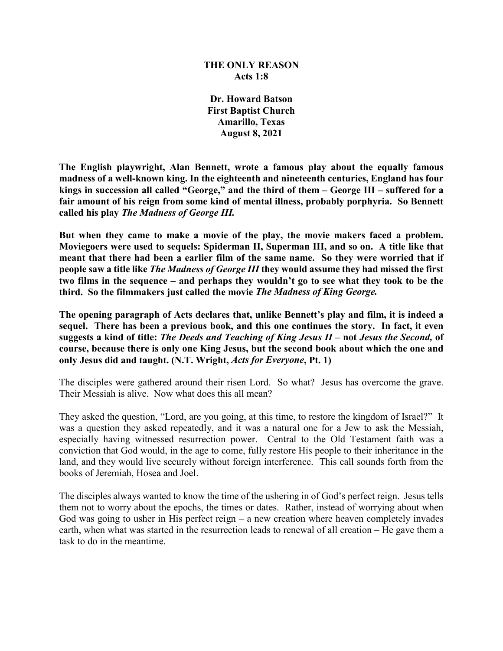### **THE ONLY REASON Acts 1:8**

**Dr. Howard Batson First Baptist Church Amarillo, Texas August 8, 2021**

**The English playwright, Alan Bennett, wrote a famous play about the equally famous madness of a well-known king. In the eighteenth and nineteenth centuries, England has four kings in succession all called "George," and the third of them – George III – suffered for a fair amount of his reign from some kind of mental illness, probably porphyria. So Bennett called his play** *The Madness of George III.*

**But when they came to make a movie of the play, the movie makers faced a problem. Moviegoers were used to sequels: Spiderman II, Superman III, and so on. A title like that meant that there had been a earlier film of the same name. So they were worried that if people saw a title like** *The Madness of George III* **they would assume they had missed the first two films in the sequence – and perhaps they wouldn't go to see what they took to be the third. So the filmmakers just called the movie** *The Madness of King George.*

**The opening paragraph of Acts declares that, unlike Bennett's play and film, it is indeed a sequel. There has been a previous book, and this one continues the story. In fact, it even suggests a kind of title:** *The Deeds and Teaching of King Jesus II* **– not** *Jesus the Second,* **of course, because there is only one King Jesus, but the second book about which the one and only Jesus did and taught. (N.T. Wright,** *Acts for Everyone***, Pt. 1)**

The disciples were gathered around their risen Lord. So what? Jesus has overcome the grave. Their Messiah is alive. Now what does this all mean?

They asked the question, "Lord, are you going, at this time, to restore the kingdom of Israel?" It was a question they asked repeatedly, and it was a natural one for a Jew to ask the Messiah, especially having witnessed resurrection power. Central to the Old Testament faith was a conviction that God would, in the age to come, fully restore His people to their inheritance in the land, and they would live securely without foreign interference. This call sounds forth from the books of Jeremiah, Hosea and Joel.

The disciples always wanted to know the time of the ushering in of God's perfect reign. Jesus tells them not to worry about the epochs, the times or dates. Rather, instead of worrying about when God was going to usher in His perfect reign – a new creation where heaven completely invades earth, when what was started in the resurrection leads to renewal of all creation – He gave them a task to do in the meantime.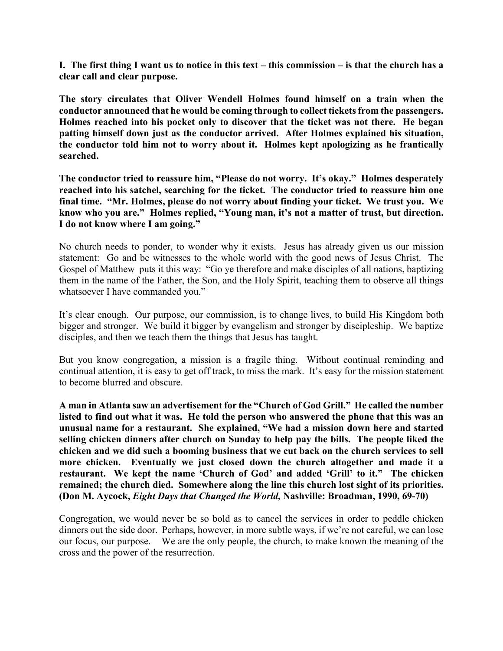**I. The first thing I want us to notice in this text – this commission – is that the church has a clear call and clear purpose.**

**The story circulates that Oliver Wendell Holmes found himself on a train when the conductor announced that he would be coming through to collect tickets from the passengers. Holmes reached into his pocket only to discover that the ticket was not there. He began patting himself down just as the conductor arrived. After Holmes explained his situation, the conductor told him not to worry about it. Holmes kept apologizing as he frantically searched.** 

**The conductor tried to reassure him, "Please do not worry. It's okay." Holmes desperately reached into his satchel, searching for the ticket. The conductor tried to reassure him one final time. "Mr. Holmes, please do not worry about finding your ticket. We trust you. We know who you are." Holmes replied, "Young man, it's not a matter of trust, but direction. I do not know where I am going."**

No church needs to ponder, to wonder why it exists. Jesus has already given us our mission statement: Go and be witnesses to the whole world with the good news of Jesus Christ. The Gospel of Matthew puts it this way: "Go ye therefore and make disciples of all nations, baptizing them in the name of the Father, the Son, and the Holy Spirit, teaching them to observe all things whatsoever I have commanded you."

It's clear enough. Our purpose, our commission, is to change lives, to build His Kingdom both bigger and stronger. We build it bigger by evangelism and stronger by discipleship. We baptize disciples, and then we teach them the things that Jesus has taught.

But you know congregation, a mission is a fragile thing. Without continual reminding and continual attention, it is easy to get off track, to miss the mark. It's easy for the mission statement to become blurred and obscure.

**A man in Atlanta saw an advertisement for the "Church of God Grill." He called the number listed to find out what it was. He told the person who answered the phone that this was an unusual name for a restaurant. She explained, "We had a mission down here and started selling chicken dinners after church on Sunday to help pay the bills. The people liked the chicken and we did such a booming business that we cut back on the church services to sell more chicken. Eventually we just closed down the church altogether and made it a restaurant. We kept the name 'Church of God' and added 'Grill' to it." The chicken remained; the church died. Somewhere along the line this church lost sight of its priorities. (Don M. Aycock,** *Eight Days that Changed the World,* **Nashville: Broadman, 1990, 69-70)**

Congregation, we would never be so bold as to cancel the services in order to peddle chicken dinners out the side door. Perhaps, however, in more subtle ways, if we're not careful, we can lose our focus, our purpose. We are the only people, the church, to make known the meaning of the cross and the power of the resurrection.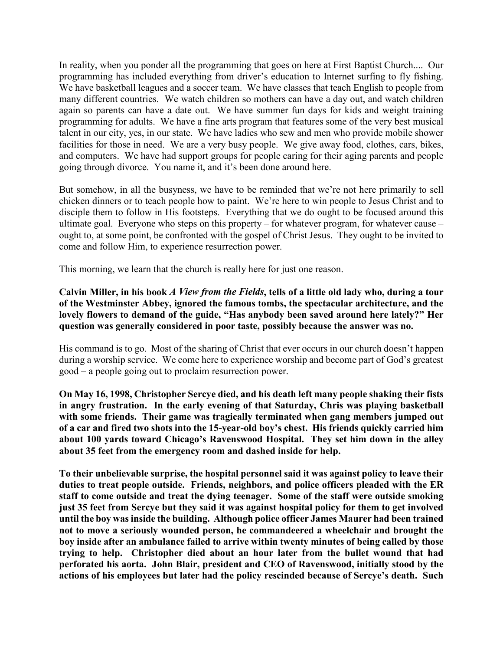In reality, when you ponder all the programming that goes on here at First Baptist Church.... Our programming has included everything from driver's education to Internet surfing to fly fishing. We have basketball leagues and a soccer team. We have classes that teach English to people from many different countries. We watch children so mothers can have a day out, and watch children again so parents can have a date out. We have summer fun days for kids and weight training programming for adults. We have a fine arts program that features some of the very best musical talent in our city, yes, in our state. We have ladies who sew and men who provide mobile shower facilities for those in need. We are a very busy people. We give away food, clothes, cars, bikes, and computers. We have had support groups for people caring for their aging parents and people going through divorce. You name it, and it's been done around here.

But somehow, in all the busyness, we have to be reminded that we're not here primarily to sell chicken dinners or to teach people how to paint. We're here to win people to Jesus Christ and to disciple them to follow in His footsteps. Everything that we do ought to be focused around this ultimate goal. Everyone who steps on this property – for whatever program, for whatever cause – ought to, at some point, be confronted with the gospel of Christ Jesus. They ought to be invited to come and follow Him, to experience resurrection power.

This morning, we learn that the church is really here for just one reason.

**Calvin Miller, in his book** *A View from the Fields***, tells of a little old lady who, during a tour of the Westminster Abbey, ignored the famous tombs, the spectacular architecture, and the lovely flowers to demand of the guide, "Has anybody been saved around here lately?" Her question was generally considered in poor taste, possibly because the answer was no.**

His command is to go. Most of the sharing of Christ that ever occurs in our church doesn't happen during a worship service. We come here to experience worship and become part of God's greatest good – a people going out to proclaim resurrection power.

**On May 16, 1998, Christopher Sercye died, and his death left many people shaking their fists in angry frustration. In the early evening of that Saturday, Chris was playing basketball**  with some friends. Their game was tragically terminated when gang members jumped out **of a car and fired two shots into the 15-year-old boy's chest. His friends quickly carried him about 100 yards toward Chicago's Ravenswood Hospital. They set him down in the alley about 35 feet from the emergency room and dashed inside for help.** 

**To their unbelievable surprise, the hospital personnel said it was against policy to leave their duties to treat people outside. Friends, neighbors, and police officers pleaded with the ER staff to come outside and treat the dying teenager. Some of the staff were outside smoking just 35 feet from Sercye but they said it was against hospital policy for them to get involved until the boy was inside the building. Although police officer James Maurer had been trained not to move a seriously wounded person, he commandeered a wheelchair and brought the boy inside after an ambulance failed to arrive within twenty minutes of being called by those trying to help. Christopher died about an hour later from the bullet wound that had perforated his aorta. John Blair, president and CEO of Ravenswood, initially stood by the actions of his employees but later had the policy rescinded because of Sercye's death. Such**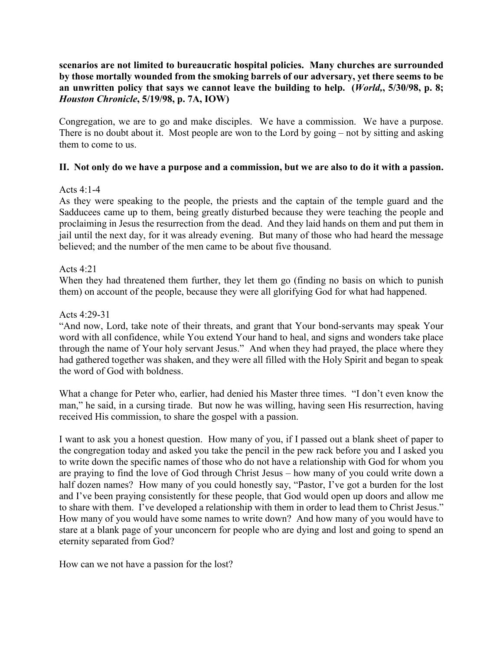# **scenarios are not limited to bureaucratic hospital policies. Many churches are surrounded by those mortally wounded from the smoking barrels of our adversary, yet there seems to be an unwritten policy that says we cannot leave the building to help. (***World,***, 5/30/98, p. 8;**  *Houston Chronicle***, 5/19/98, p. 7A, IOW)**

Congregation, we are to go and make disciples. We have a commission. We have a purpose. There is no doubt about it. Most people are won to the Lord by going – not by sitting and asking them to come to us.

# **II. Not only do we have a purpose and a commission, but we are also to do it with a passion.**

# Acts 4:1-4

As they were speaking to the people, the priests and the captain of the temple guard and the Sadducees came up to them, being greatly disturbed because they were teaching the people and proclaiming in Jesus the resurrection from the dead. And they laid hands on them and put them in jail until the next day, for it was already evening. But many of those who had heard the message believed; and the number of the men came to be about five thousand.

# Acts 4:21

When they had threatened them further, they let them go (finding no basis on which to punish them) on account of the people, because they were all glorifying God for what had happened.

# Acts 4:29-31

"And now, Lord, take note of their threats, and grant that Your bond-servants may speak Your word with all confidence, while You extend Your hand to heal, and signs and wonders take place through the name of Your holy servant Jesus." And when they had prayed, the place where they had gathered together was shaken, and they were all filled with the Holy Spirit and began to speak the word of God with boldness.

What a change for Peter who, earlier, had denied his Master three times. "I don't even know the man," he said, in a cursing tirade. But now he was willing, having seen His resurrection, having received His commission, to share the gospel with a passion.

I want to ask you a honest question. How many of you, if I passed out a blank sheet of paper to the congregation today and asked you take the pencil in the pew rack before you and I asked you to write down the specific names of those who do not have a relationship with God for whom you are praying to find the love of God through Christ Jesus – how many of you could write down a half dozen names? How many of you could honestly say, "Pastor, I've got a burden for the lost and I've been praying consistently for these people, that God would open up doors and allow me to share with them. I've developed a relationship with them in order to lead them to Christ Jesus." How many of you would have some names to write down? And how many of you would have to stare at a blank page of your unconcern for people who are dying and lost and going to spend an eternity separated from God?

How can we not have a passion for the lost?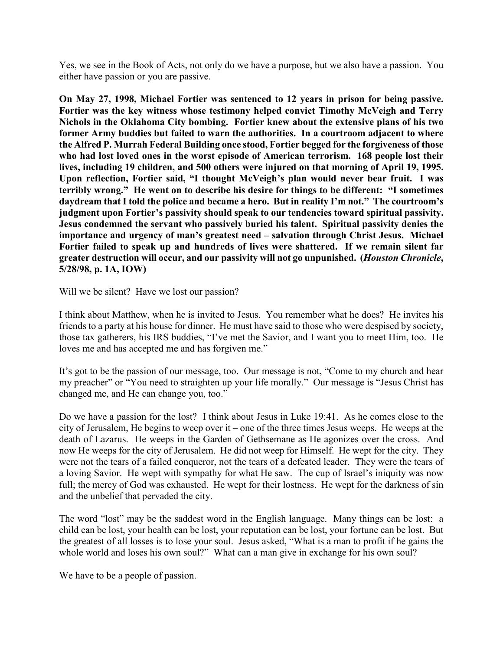Yes, we see in the Book of Acts, not only do we have a purpose, but we also have a passion. You either have passion or you are passive.

**On May 27, 1998, Michael Fortier was sentenced to 12 years in prison for being passive. Fortier was the key witness whose testimony helped convict Timothy McVeigh and Terry Nichols in the Oklahoma City bombing. Fortier knew about the extensive plans of his two former Army buddies but failed to warn the authorities. In a courtroom adjacent to where the Alfred P. Murrah Federal Building once stood, Fortier begged for the forgiveness of those who had lost loved ones in the worst episode of American terrorism. 168 people lost their lives, including 19 children, and 500 others were injured on that morning of April 19, 1995. Upon reflection, Fortier said, "I thought McVeigh's plan would never bear fruit. I was terribly wrong." He went on to describe his desire for things to be different: "I sometimes daydream that I told the police and became a hero. But in reality I'm not." The courtroom's judgment upon Fortier's passivity should speak to our tendencies toward spiritual passivity. Jesus condemned the servant who passively buried his talent. Spiritual passivity denies the importance and urgency of man's greatest need – salvation through Christ Jesus. Michael Fortier failed to speak up and hundreds of lives were shattered. If we remain silent far greater destruction will occur, and our passivity will not go unpunished. (***Houston Chronicle***, 5/28/98, p. 1A, IOW)**

Will we be silent? Have we lost our passion?

I think about Matthew, when he is invited to Jesus. You remember what he does? He invites his friends to a party at his house for dinner. He must have said to those who were despised by society, those tax gatherers, his IRS buddies, "I've met the Savior, and I want you to meet Him, too. He loves me and has accepted me and has forgiven me."

It's got to be the passion of our message, too. Our message is not, "Come to my church and hear my preacher" or "You need to straighten up your life morally." Our message is "Jesus Christ has changed me, and He can change you, too."

Do we have a passion for the lost? I think about Jesus in Luke 19:41. As he comes close to the city of Jerusalem, He begins to weep over it – one of the three times Jesus weeps. He weeps at the death of Lazarus. He weeps in the Garden of Gethsemane as He agonizes over the cross. And now He weeps for the city of Jerusalem. He did not weep for Himself. He wept for the city. They were not the tears of a failed conqueror, not the tears of a defeated leader. They were the tears of a loving Savior. He wept with sympathy for what He saw. The cup of Israel's iniquity was now full; the mercy of God was exhausted. He wept for their lostness. He wept for the darkness of sin and the unbelief that pervaded the city.

The word "lost" may be the saddest word in the English language. Many things can be lost: a child can be lost, your health can be lost, your reputation can be lost, your fortune can be lost. But the greatest of all losses is to lose your soul. Jesus asked, "What is a man to profit if he gains the whole world and loses his own soul?" What can a man give in exchange for his own soul?

We have to be a people of passion.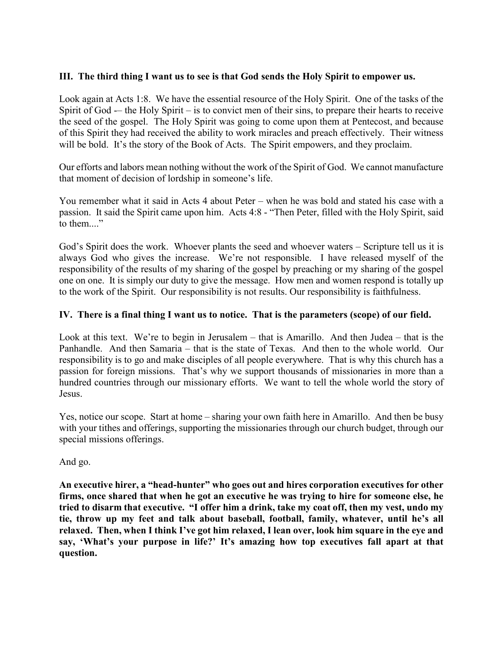# **III. The third thing I want us to see is that God sends the Holy Spirit to empower us.**

Look again at Acts 1:8. We have the essential resource of the Holy Spirit. One of the tasks of the Spirit of God -– the Holy Spirit – is to convict men of their sins, to prepare their hearts to receive the seed of the gospel. The Holy Spirit was going to come upon them at Pentecost, and because of this Spirit they had received the ability to work miracles and preach effectively. Their witness will be bold. It's the story of the Book of Acts. The Spirit empowers, and they proclaim.

Our efforts and labors mean nothing without the work of the Spirit of God. We cannot manufacture that moment of decision of lordship in someone's life.

You remember what it said in Acts 4 about Peter – when he was bold and stated his case with a passion. It said the Spirit came upon him. Acts 4:8 - "Then Peter, filled with the Holy Spirit, said to them...."

God's Spirit does the work. Whoever plants the seed and whoever waters – Scripture tell us it is always God who gives the increase. We're not responsible. I have released myself of the responsibility of the results of my sharing of the gospel by preaching or my sharing of the gospel one on one. It is simply our duty to give the message. How men and women respond is totally up to the work of the Spirit. Our responsibility is not results. Our responsibility is faithfulness.

# **IV. There is a final thing I want us to notice. That is the parameters (scope) of our field.**

Look at this text. We're to begin in Jerusalem – that is Amarillo. And then Judea – that is the Panhandle. And then Samaria – that is the state of Texas. And then to the whole world. Our responsibility is to go and make disciples of all people everywhere. That is why this church has a passion for foreign missions. That's why we support thousands of missionaries in more than a hundred countries through our missionary efforts. We want to tell the whole world the story of Jesus.

Yes, notice our scope. Start at home – sharing your own faith here in Amarillo. And then be busy with your tithes and offerings, supporting the missionaries through our church budget, through our special missions offerings.

And go.

**An executive hirer, a "head-hunter" who goes out and hires corporation executives for other firms, once shared that when he got an executive he was trying to hire for someone else, he tried to disarm that executive. "I offer him a drink, take my coat off, then my vest, undo my tie, throw up my feet and talk about baseball, football, family, whatever, until he's all relaxed. Then, when I think I've got him relaxed, I lean over, look him square in the eye and say, 'What's your purpose in life?' It's amazing how top executives fall apart at that question.**